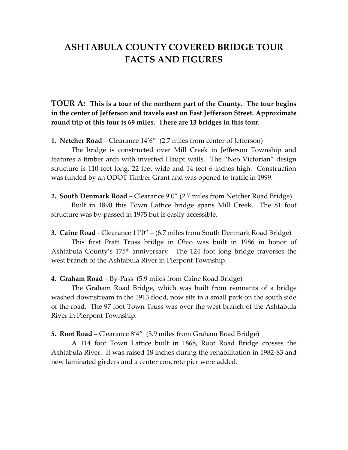## **ASHTABULA COUNTY COVERED BRIDGE TOUR FACTS AND FIGURES**

**TOUR A: This is a tour of the northern part of the County. The tour begins in the center of Jefferson and travels east on East Jefferson Street. Approximate round trip of this tour is 69 miles. There are 13 bridges in this tour.**

**1. Netcher Road** – Clearance 14'6" (2.7 miles from center of Jefferson)

The bridge is constructed over Mill Creek in Jefferson Township and features a timber arch with inverted Haupt walls. The "Neo Victorian" design structure is 110 feet long, 22 feet wide and 14 feet 6 inches high. Construction was funded by an ODOT Timber Grant and was opened to traffic in 1999.

**2. South Denmark Road** – Clearance 9'0" (2.7 miles from Netcher Road Bridge)

Built in 1890 this Town Lattice bridge spans Mill Creek. The 81 foot structure was by-passed in 1975 but is easily accessible.

**3. Caine Road** - Clearance 11'0" – (6.7 miles from South Denmark Road Bridge)

This first Pratt Truss bridge in Ohio was built in 1986 in honor of Ashtabula County's 175<sup>th</sup> anniversary. The 124 foot long bridge traverses the west branch of the Ashtabula River in Pierpont Township.

**4. Graham Road** – By-Pass (5.9 miles from Caine Road Bridge)

The Graham Road Bridge, which was built from remnants of a bridge washed downstream in the 1913 flood, now sits in a small park on the south side of the road. The 97 foot Town Truss was over the west branch of the Ashtabula River in Pierpont Township.

**5. Root Road –** Clearance 8'4" (3.9 miles from Graham Road Bridge)

A 114 foot Town Lattice built in 1868, Root Road Bridge crosses the Ashtabula River. It was raised 18 inches during the rehabilitation in 1982-83 and new laminated girders and a center concrete pier were added.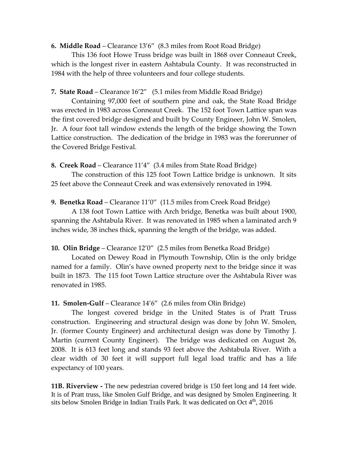**6. Middle Road** – Clearance 13'6" (8.3 miles from Root Road Bridge)

This 136 foot Howe Truss bridge was built in 1868 over Conneaut Creek, which is the longest river in eastern Ashtabula County. It was reconstructed in 1984 with the help of three volunteers and four college students.

**7. State Road** – Clearance 16'2" (5.1 miles from Middle Road Bridge)

Containing 97,000 feet of southern pine and oak, the State Road Bridge was erected in 1983 across Conneaut Creek. The 152 foot Town Lattice span was the first covered bridge designed and built by County Engineer, John W. Smolen, Jr. A four foot tall window extends the length of the bridge showing the Town Lattice construction. The dedication of the bridge in 1983 was the forerunner of the Covered Bridge Festival.

**8. Creek Road** – Clearance 11'4" (3.4 miles from State Road Bridge)

The construction of this 125 foot Town Lattice bridge is unknown. It sits 25 feet above the Conneaut Creek and was extensively renovated in 1994.

**9. Benetka Road** – Clearance 11'0" (11.5 miles from Creek Road Bridge)

A 138 foot Town Lattice with Arch bridge, Benetka was built about 1900, spanning the Ashtabula River. It was renovated in 1985 when a laminated arch 9 inches wide, 38 inches thick, spanning the length of the bridge, was added.

**10. Olin Bridge** – Clearance 12'0" (2.5 miles from Benetka Road Bridge)

Located on Dewey Road in Plymouth Township, Olin is the only bridge named for a family. Olin's have owned property next to the bridge since it was built in 1873. The 115 foot Town Lattice structure over the Ashtabula River was renovated in 1985.

**11. Smolen-Gulf** – Clearance 14'6" (2.6 miles from Olin Bridge)

The longest covered bridge in the United States is of Pratt Truss construction. Engineering and structural design was done by John W. Smolen, Jr. (former County Engineer) and architectural design was done by Timothy J. Martin (current County Engineer). The bridge was dedicated on August 26, 2008. It is 613 feet long and stands 93 feet above the Ashtabula River. With a clear width of 30 feet it will support full legal load traffic and has a life expectancy of 100 years.

**11B. Riverview -** The new pedestrian covered bridge is 150 feet long and 14 feet wide. It is of Pratt truss, like Smolen Gulf Bridge, and was designed by Smolen Engineering. It sits below Smolen Bridge in Indian Trails Park. It was dedicated on Oct  $4<sup>th</sup>$ , 2016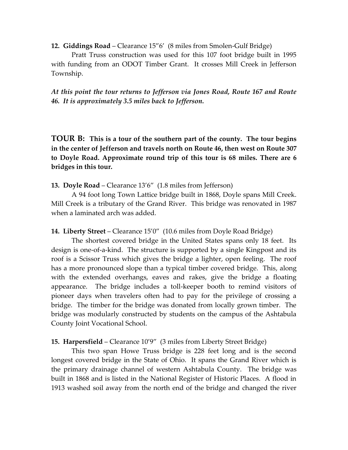**12. Giddings Road** – Clearance 15"6' (8 miles from Smolen-Gulf Bridge)

Pratt Truss construction was used for this 107 foot bridge built in 1995 with funding from an ODOT Timber Grant. It crosses Mill Creek in Jefferson Township.

*At this point the tour returns to Jefferson via Jones Road, Route 167 and Route 46. It is approximately 3.5 miles back to Jefferson.*

**TOUR B: This is a tour of the southern part of the county. The tour begins in the center of Jefferson and travels north on Route 46, then west on Route 307 to Doyle Road. Approximate round trip of this tour is 68 miles. There are 6 bridges in this tour.**

**13. Doyle Road** – Clearance 13'6" (1.8 miles from Jefferson)

A 94 foot long Town Lattice bridge built in 1868, Doyle spans Mill Creek. Mill Creek is a tributary of the Grand River. This bridge was renovated in 1987 when a laminated arch was added.

**14. Liberty Street** – Clearance 15'0" (10.6 miles from Doyle Road Bridge)

The shortest covered bridge in the United States spans only 18 feet. Its design is one-of-a-kind. The structure is supported by a single Kingpost and its roof is a Scissor Truss which gives the bridge a lighter, open feeling. The roof has a more pronounced slope than a typical timber covered bridge. This, along with the extended overhangs, eaves and rakes, give the bridge a floating appearance. The bridge includes a toll-keeper booth to remind visitors of pioneer days when travelers often had to pay for the privilege of crossing a bridge. The timber for the bridge was donated from locally grown timber. The bridge was modularly constructed by students on the campus of the Ashtabula County Joint Vocational School.

**15. Harpersfield** – Clearance 10'9" (3 miles from Liberty Street Bridge)

This two span Howe Truss bridge is 228 feet long and is the second longest covered bridge in the State of Ohio. It spans the Grand River which is the primary drainage channel of western Ashtabula County. The bridge was built in 1868 and is listed in the National Register of Historic Places. A flood in 1913 washed soil away from the north end of the bridge and changed the river